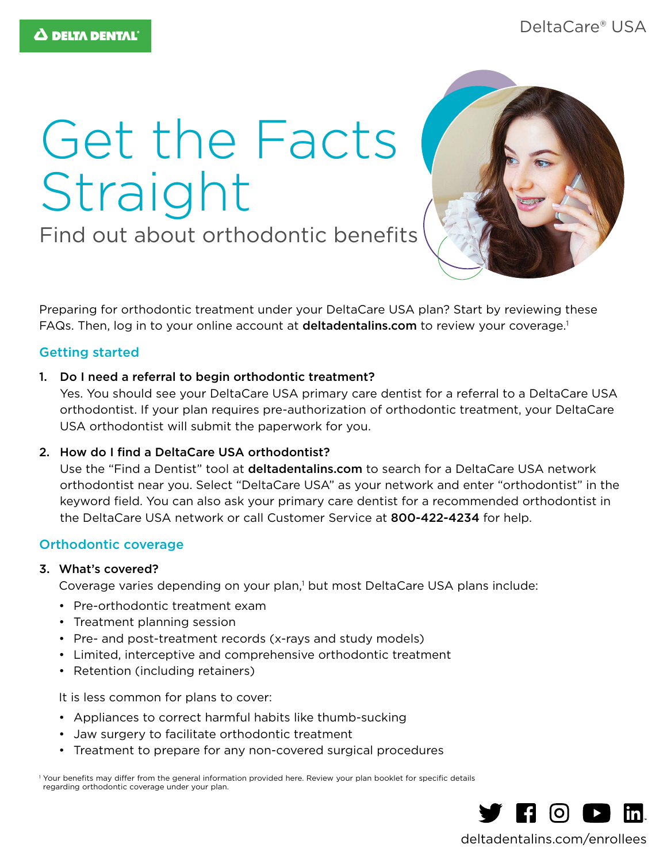# Get the Facts Straight

Find out about orthodontic benefits



Preparing for orthodontic treatment under your DeltaCare USA plan? Start by reviewing these FAQs. Then, log in to your online account at deltadentalins.com to review your coverage.<sup>1</sup>

## Getting started

1. Do I need a referral to begin orthodontic treatment?

Yes. You should see your DeltaCare USA primary care dentist for a referral to a DeltaCare USA orthodontist. If your plan requires pre-authorization of orthodontic treatment, your DeltaCare USA orthodontist will submit the paperwork for you.

## 2. How do I find a DeltaCare USA orthodontist?

Use the "Find a Dentist" tool at deltadentalins.com to search for a DeltaCare USA network orthodontist near you. Select "DeltaCare USA" as your network and enter "orthodontist" in the keyword field. You can also ask your primary care dentist for a recommended orthodontist in the DeltaCare USA network or call Customer Service at 800-422-4234 for help.

## Orthodontic coverage

#### 3. What's covered?

Coverage varies depending on your plan,<sup>1</sup> but most DeltaCare USA plans include:

- Pre-orthodontic treatment exam
- Treatment planning session
- Pre- and post-treatment records (x-rays and study models)
- Limited, interceptive and comprehensive orthodontic treatment
- Retention (including retainers)

It is less common for plans to cover:

- Appliances to correct harmful habits like thumb-sucking
- Jaw surgery to facilitate orthodontic treatment
- Treatment to prepare for any non-covered surgical procedures

<sup>1</sup> Your benefits may differ from the general information provided here. Review your plan booklet for specific details regarding orthodontic coverage under your plan.



deltadentalins.com/enrollees